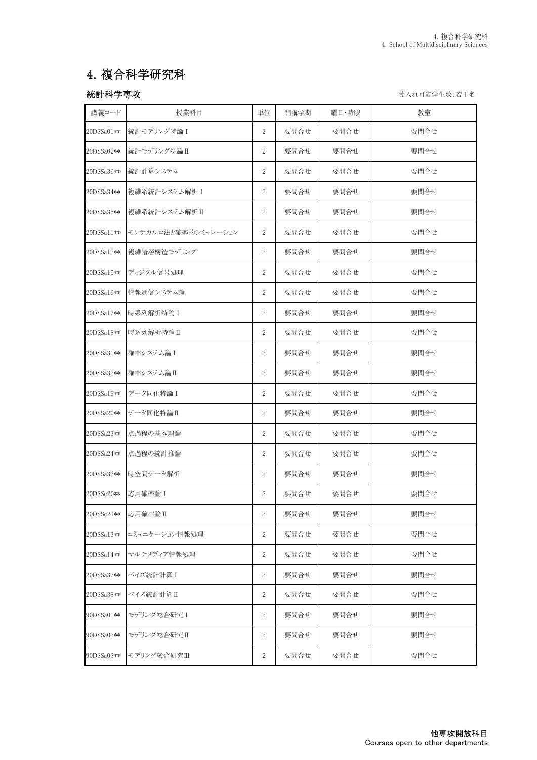# 4.複合科学研究科

<mark>統計科学専攻</mark> コンピューション インディー・エンジェー エンジェー エンジェー ライル可能学生数:若干名

| 講義コード      | 授業科目                | 単位               | 開講学期 | 曜日・時限 | 教室   |
|------------|---------------------|------------------|------|-------|------|
| 20DSSa01** | 統計モデリング特論 I         | $\overline{2}$   | 要問合せ | 要問合せ  | 要問合せ |
| 20DSSa02** | 統計モデリング特論Ⅱ          | $\overline{2}$   | 要問合せ | 要問合せ  | 要問合せ |
| 20DSSa36** | 統計計算システム            | $\overline{2}$   | 要問合せ | 要問合せ  | 要問合せ |
| 20DSSa34** | 複雑系統計システム解析 I       | $\mathbf{2}$     | 要問合せ | 要問合せ  | 要問合せ |
| 20DSSa35** | 複雑系統計システム解析Ⅱ        | $\sqrt{2}$       | 要問合せ | 要問合せ  | 要問合せ |
| 20DSSall** | モンテカルロ法と確率的シミュレーション | $\overline{2}$   | 要問合せ | 要問合せ  | 要問合せ |
| 20DSSa12** | 複雑階層構造モデリング         | $\overline{2}$   | 要問合せ | 要問合せ  | 要問合せ |
| 20DSSa15** | ディジタル信号処理           | $\overline{2}$   | 要問合せ | 要問合せ  | 要問合せ |
| 20DSSa16** | 情報通信システム論           | $\sqrt{2}$       | 要問合せ | 要問合せ  | 要問合せ |
| 20DSSa17** | 時系列解析特論 I           | $\overline{2}$   | 要問合せ | 要問合せ  | 要問合せ |
| 20DSSa18** | 時系列解析特論Ⅱ            | $\overline{2}$   | 要問合せ | 要問合せ  | 要問合せ |
| 20DSSa31** | 確率システム論 I           | $\sqrt{2}$       | 要問合せ | 要問合せ  | 要問合せ |
| 20DSSa32** | 確率システム論Ⅱ            | 2                | 要問合せ | 要問合せ  | 要問合せ |
| 20DSSa19** | データ同化特論I            | $\sqrt{2}$       | 要問合せ | 要問合せ  | 要問合せ |
| 20DSSa20** | データ同化特論Ⅱ            | $\overline{2}$   | 要問合せ | 要問合せ  | 要問合せ |
| 20DSSa23** | 点過程の基本理論            | $\overline{2}$   | 要問合せ | 要問合せ  | 要問合せ |
| 20DSSa24** | 点過程の統計推論            | $\overline{2}$   | 要問合せ | 要問合せ  | 要問合せ |
| 20DSSa33** | 時空間データ解析            | $\sqrt{2}$       | 要問合せ | 要問合せ  | 要問合せ |
| 20DSSc20** | 応用確率論 I             | $\overline{2}$   | 要問合せ | 要問合せ  | 要問合せ |
| 20DSSc21** | 応用確率論Ⅱ              | $\sqrt{2}$       | 要問合せ | 要問合せ  | 要問合せ |
| 20DSSa13** | コミュニケーション情報処理       | $\boldsymbol{2}$ | 要問合せ | 要問合せ  | 要問合せ |
| 20DSSa14** | マルチメディア情報処理         | $\boldsymbol{2}$ | 要問合せ | 要問合せ  | 要問合せ |
| 20DSSa37** | ベイズ統計計算I            | $\sqrt{2}$       | 要問合せ | 要問合せ  | 要問合せ |
| 20DSSa38** | ベイズ統計計算Ⅱ            | $\sqrt{2}$       | 要問合せ | 要問合せ  | 要問合せ |
| 90DSSa01** | モデリング総合研究I          | $\boldsymbol{2}$ | 要問合せ | 要問合せ  | 要問合せ |
| 90DSSa02** | モデリング総合研究Ⅱ          | $\sqrt{2}$       | 要問合せ | 要問合せ  | 要問合せ |
| 90DSSa03** | モデリング総合研究Ⅲ          | $\sqrt{2}$       | 要問合せ | 要問合せ  | 要問合せ |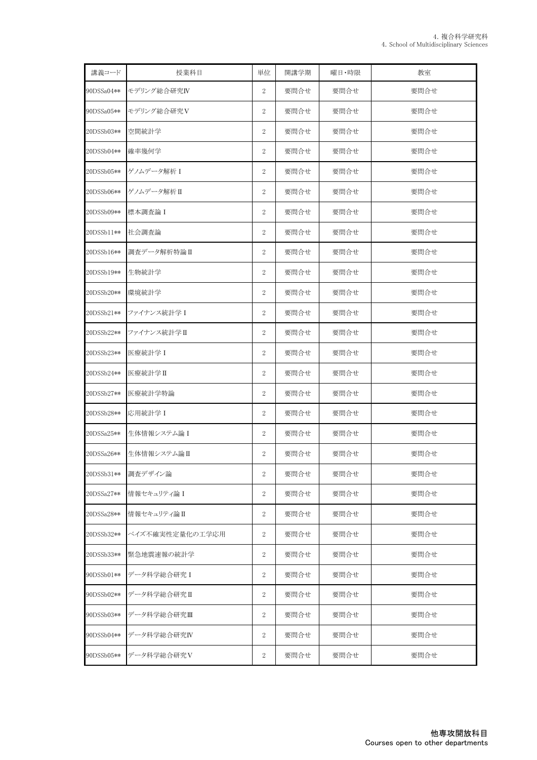| 講義コード      | 授業科目            | 単位               | 開講学期 | 曜日·時限 | 教室   |
|------------|-----------------|------------------|------|-------|------|
| 90DSSa04** | モデリング総合研究IV     | 2                | 要問合せ | 要問合せ  | 要問合せ |
| 90DSSa05** | モデリング総合研究V      | $\overline{2}$   | 要問合せ | 要問合せ  | 要問合せ |
| 20DSSb03** | 空間統計学           | $\overline{2}$   | 要問合せ | 要問合せ  | 要問合せ |
| 20DSSb04** | 確率幾何学           | $\boldsymbol{2}$ | 要問合せ | 要問合せ  | 要問合せ |
| 20DSSb05** | ゲノムデータ解析 I      | $\boldsymbol{2}$ | 要問合せ | 要問合せ  | 要問合せ |
| 20DSSb06** | ゲノムデータ解析Ⅱ       | 2                | 要問合せ | 要問合せ  | 要問合せ |
| 20DSSb09** | 標本調査論 I         | 2                | 要問合せ | 要問合せ  | 要問合せ |
| 20DSSb11** | 社会調査論           | 2                | 要問合せ | 要問合せ  | 要問合せ |
| 20DSSb16** | 調査データ解析特論Ⅱ      | $\overline{2}$   | 要問合せ | 要問合せ  | 要問合せ |
| 20DSSb19** | 生物統計学           | $\overline{2}$   | 要問合せ | 要問合せ  | 要問合せ |
| 20DSSb20** | 環境統計学           | $\overline{2}$   | 要問合せ | 要問合せ  | 要問合せ |
| 20DSSb21** | ファイナンス統計学 I     | $\overline{2}$   | 要問合せ | 要問合せ  | 要問合せ |
| 20DSSb22** | ファイナンス統計学 II    | $\boldsymbol{2}$ | 要問合せ | 要問合せ  | 要問合せ |
| 20DSSb23** | 医療統計学 I         | 2                | 要問合せ | 要問合せ  | 要問合せ |
| 20DSSb24** | 医療統計学II         | $\boldsymbol{2}$ | 要問合せ | 要問合せ  | 要問合せ |
| 20DSSb27** | 医療統計学特論         | 2                | 要問合せ | 要問合せ  | 要問合せ |
| 20DSSb28** | 応用統計学 I         | 2                | 要問合せ | 要問合せ  | 要問合せ |
| 20DSSa25** | 生体情報システム論 I     | 2                | 要問合せ | 要問合せ  | 要問合せ |
| 20DSSa26** | 生体情報システム論I      | 2                | 要問合せ | 要問合せ  | 要問合せ |
| 20DSSb31** | 調査デザイン論         | $\overline{2}$   | 要問合せ | 要問合せ  | 要問合せ |
| 20DSSa27** | 情報セキュリティ論Ⅰ      | 2                | 要問合せ | 要問合せ  | 要問合せ |
| 20DSSa28** | 情報セキュリティ論Ⅱ      | 2                | 要問合せ | 要問合せ  | 要問合せ |
| 20DSSb32** | ベイズ不確実性定量化の工学応用 | $\mathbf{2}$     | 要問合せ | 要問合せ  | 要問合せ |
| 20DSSb33** | 緊急地震速報の統計学      | 2                | 要問合せ | 要問合せ  | 要問合せ |
| 90DSSb01** | データ科学総合研究I      | 2                | 要問合せ | 要問合せ  | 要問合せ |
| 90DSSb02** | データ科学総合研究Ⅱ      | 2                | 要問合せ | 要問合せ  | 要問合せ |
| 90DSSb03** | データ科学総合研究Ⅲ      | 2                | 要問合せ | 要問合せ  | 要問合せ |
| 90DSSb04** | データ科学総合研究IV     | $\overline{2}$   | 要問合せ | 要問合せ  | 要問合せ |
| 90DSSb05** | データ科学総合研究V      | 2                | 要問合せ | 要問合せ  | 要問合せ |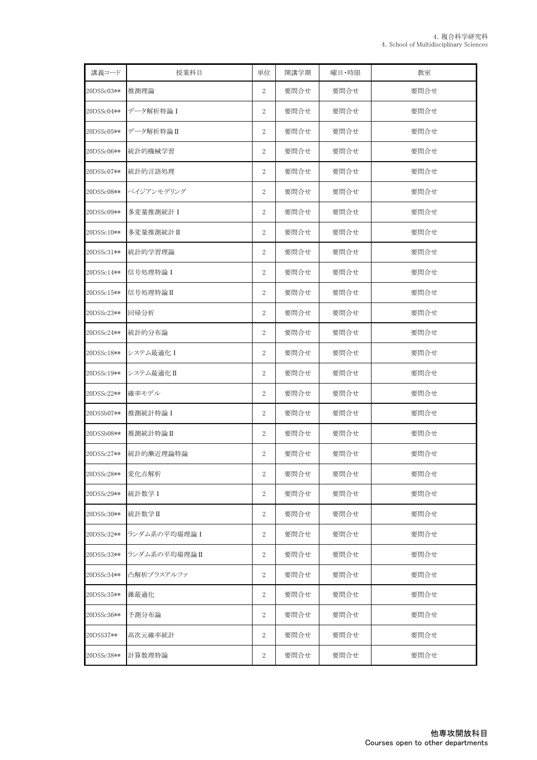| 講義コード      | 授業科目          | 単位               | 開講学期 | 曜日·時限 | 教室   |
|------------|---------------|------------------|------|-------|------|
| 20DSSc03** | 推測理論          | $\overline{2}$   | 要問合せ | 要問合せ  | 要問合せ |
| 20DSSc04** | データ解析特論 I     | $\overline{2}$   | 要問合せ | 要問合せ  | 要問合せ |
| 20DSSc05** | データ解析特論Ⅱ      | 2                | 要問合せ | 要問合せ  | 要問合せ |
| 20DSSc06** | 統計的機械学習       | $\boldsymbol{2}$ | 要問合せ | 要問合せ  | 要問合せ |
| 20DSSc07** | 統計的言語処理       | $\boldsymbol{2}$ | 要問合せ | 要問合せ  | 要問合せ |
| 20DSSc08** | ベイジアンモデリング    | $\overline{2}$   | 要問合せ | 要問合せ  | 要問合せ |
| 20DSSc09** | 多変量推測統計 I     | $\overline{2}$   | 要問合せ | 要問合せ  | 要問合せ |
| 20DSSc10** | 多変量推測統計II     | $\boldsymbol{2}$ | 要問合せ | 要問合せ  | 要問合せ |
| 20DSSc31** | 統計的学習理論       | $\overline{2}$   | 要問合せ | 要問合せ  | 要問合せ |
| 20DSSc14** | 信号処理特論 I      | 2                | 要問合せ | 要問合せ  | 要問合せ |
| 20DSSc15** | 信号処理特論II      | $\overline{2}$   | 要問合せ | 要問合せ  | 要問合せ |
| 20DSSc23** | 回帰分析          | $\boldsymbol{2}$ | 要問合せ | 要問合せ  | 要問合せ |
| 20DSSc24** | 統計的分布論        | 2                | 要問合せ | 要問合せ  | 要問合せ |
| 20DSSc18** | システム最適化 I     | $\boldsymbol{2}$ | 要問合せ | 要問合せ  | 要問合せ |
| 20DSSc19** | システム最適化II     | $\boldsymbol{2}$ | 要問合せ | 要問合せ  | 要問合せ |
| 20DSSc22** | 確率モデル         | $\overline{2}$   | 要問合せ | 要問合せ  | 要問合せ |
| 20DSSb07** | 推測統計特論 I      | $\overline{2}$   | 要問合せ | 要問合せ  | 要問合せ |
| 20DSSb08** | 推測統計特論II      | $\overline{2}$   | 要問合せ | 要問合せ  | 要問合せ |
| 20DSSc27** | 統計的漸近理論特論     | 2                | 要問合せ | 要問合せ  | 要問合せ |
| 20DSSc28** | 変化点解析         | $\,2$            | 要問合せ | 要問合せ  | 要問合せ |
| 20DSSc29** | 統計数学 I        | 2                | 要問合せ | 要問合せ  | 要問合せ |
| 20DSSc30** | 統計数学Ⅱ         | $\boldsymbol{2}$ | 要問合せ | 要問合せ  | 要問合せ |
| 20DSSc32** | ランダム系の平均場理論 I | 2                | 要問合せ | 要問合せ  | 要問合せ |
| 20DSSc33** | ランダム系の平均場理論I  | 2                | 要問合せ | 要問合せ  | 要問合せ |
| 20DSSc34** | 凸解析プラスアルファ    | 2                | 要問合せ | 要問合せ  | 要問合せ |
| 20DSSc35** | 錐最適化          | $\,2$            | 要問合せ | 要問合せ  | 要問合せ |
| 20DSSc36** | 予測分布論         | $\boldsymbol{2}$ | 要問合せ | 要問合せ  | 要問合せ |
| 20DSS37**  | 高次元確率統計       | 2                | 要問合せ | 要問合せ  | 要問合せ |
| 20DSSc38** | 計算数理特論        | 2                | 要問合せ | 要問合せ  | 要問合せ |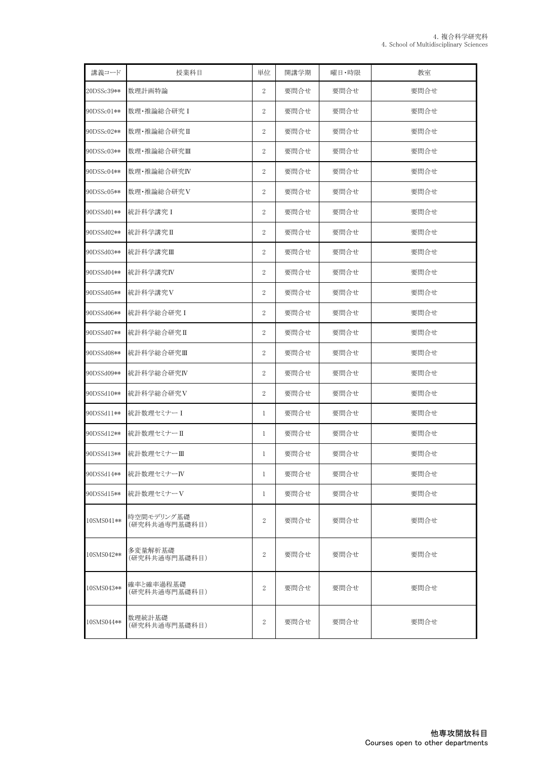| 講義コード      | 授業科目                        | 単位               | 開講学期 | 曜日·時限 | 教室   |
|------------|-----------------------------|------------------|------|-------|------|
| 20DSSc39** | 数理計画特論                      | $\boldsymbol{2}$ | 要問合せ | 要問合せ  | 要問合せ |
| 90DSSc01** | 数理·推論総合研究 I                 | $\overline{2}$   | 要問合せ | 要問合せ  | 要問合せ |
| 90DSSc02** | 数理・推論総合研究Ⅱ                  | $\overline{2}$   | 要問合せ | 要問合せ  | 要問合せ |
| 90DSSc03** | 数理・推論総合研究Ⅲ                  | $\boldsymbol{2}$ | 要問合せ | 要問合せ  | 要問合せ |
| 90DSSc04** | 数理・推論総合研究IV                 | $\overline{2}$   | 要問合せ | 要問合せ  | 要問合せ |
| 90DSSc05** | 数理・推論総合研究V                  | $\boldsymbol{2}$ | 要問合せ | 要問合せ  | 要問合せ |
| 90DSSd01** | 統計科学講究 I                    | $\boldsymbol{2}$ | 要問合せ | 要問合せ  | 要問合せ |
| 90DSSd02** | 統計科学講究II                    | $\boldsymbol{2}$ | 要問合せ | 要問合せ  | 要問合せ |
| 90DSSd03** | 統計科学講究Ⅲ                     | $\boldsymbol{2}$ | 要問合せ | 要問合せ  | 要問合せ |
| 90DSSd04** | 統計科学講究IV                    | $\overline{2}$   | 要問合せ | 要問合せ  | 要問合せ |
| 90DSSd05** | 統計科学講究V                     | $\boldsymbol{2}$ | 要問合せ | 要問合せ  | 要問合せ |
| 90DSSd06** | 統計科学総合研究 I                  | $\overline{2}$   | 要問合せ | 要問合せ  | 要問合せ |
| 90DSSd07** | 統計科学総合研究II                  | $\overline{2}$   | 要問合せ | 要問合せ  | 要問合せ |
| 90DSSd08** | 統計科学総合研究Ⅲ                   | $\boldsymbol{2}$ | 要問合せ | 要問合せ  | 要問合せ |
| 90DSSd09** | 統計科学総合研究IV                  | $\boldsymbol{2}$ | 要問合せ | 要問合せ  | 要問合せ |
| 90DSSd10** | 統計科学総合研究V                   | $\boldsymbol{2}$ | 要問合せ | 要問合せ  | 要問合せ |
| 90DSSd11** | 統計数理セミナーI                   | 1                | 要問合せ | 要問合せ  | 要問合せ |
| 90DSSd12** | 統計数理セミナーII                  | 1                | 要問合せ | 要問合せ  | 要問合せ |
| 90DSSd13** | 統計数理セミナーⅢ                   | $\mathbf{1}$     | 要問合せ | 要問合せ  | 要問合せ |
| 90DSSd14** | 統計数理セミナーIV                  | $\mathbf{1}$     | 要問合せ | 要問合せ  | 要問合せ |
| 90DSSd15** | 統計数理セミナーV                   | 1                | 要問合せ | 要問合せ  | 要問合せ |
| 10SMS041** | 時空間モデリング基礎<br>(研究科共通専門基礎科目) | $\boldsymbol{2}$ | 要問合せ | 要問合せ  | 要問合せ |
| 10SMS042** | 多変量解析基礎<br>(研究科共通専門基礎科目)    | $\boldsymbol{2}$ | 要問合せ | 要問合せ  | 要問合せ |
| 10SMS043** | 確率と確率過程基礎<br>(研究科共通専門基礎科目)  | $\boldsymbol{2}$ | 要問合せ | 要問合せ  | 要問合せ |
| 10SMS044** | 数理統計基礎<br>(研究科共通専門基礎科目)     | $\boldsymbol{2}$ | 要問合せ | 要問合せ  | 要問合せ |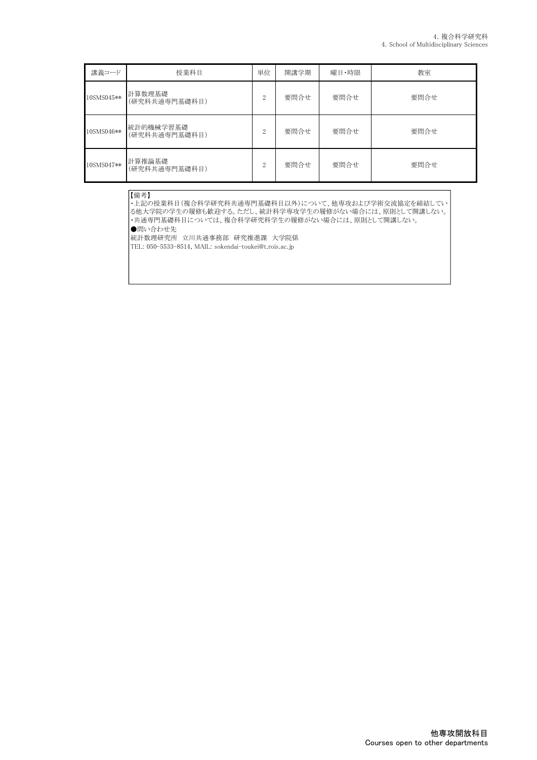| 講義コード      | 授業科目                       | 単位             | 開講学期 | 曜日・時限 | 教室   |
|------------|----------------------------|----------------|------|-------|------|
| 10SMS045** | 計算数理基礎<br>(研究科共通専門基礎科目)    | $\Omega$       | 要問合せ | 要問合せ  | 要問合せ |
| 10SMS046** | 統計的機械学習基礎<br>(研究科共通専門基礎科目) | $\Omega$       | 要問合せ | 要問合せ  | 要問合せ |
| 10SMS047** | 計算推論基礎<br>(研究科共通専門基礎科目)    | $\overline{2}$ | 要問合せ | 要問合せ  | 要問合せ |

#### 【備考】

・上記の授業科目(複合科学研究科共通専門基礎科目以外)について、他専攻および学術交流協定を締結してい る他大学院の学生の履修も歓迎する。ただし、統計科学専攻学生の履修がない場合には、原則として開講しない。 ・共通専門基礎科目については、複合科学研究科学生の履修がない場合には、原則として開講しない。 ●問い合わせ先 統計数理研究所 立川共通事務部 研究推進課 大学院係

TEL: 050-5533-8514, MAIL: sokendai-toukei@t.rois.ac.jp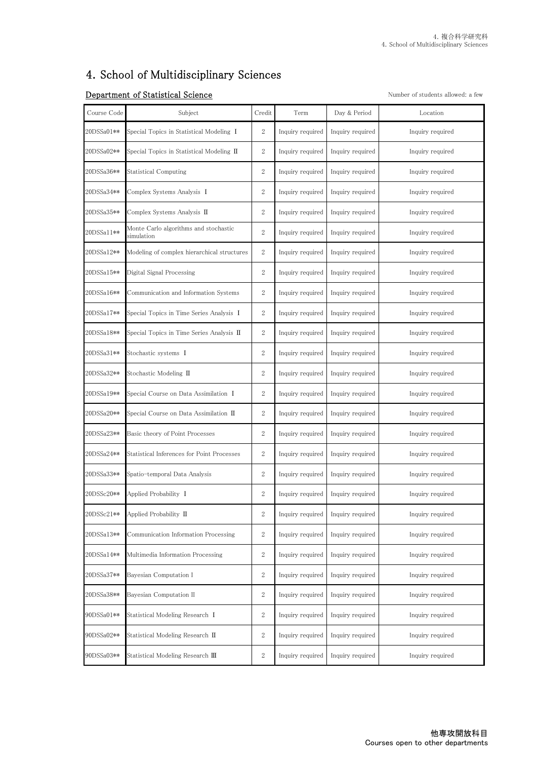## 4.School of Multidisciplinary Sciences

## **Department of Statistical Science** Number of students allowed: a few

| Course Code | Subject                                                     | Credit           | Term             | Day & Period     | Location         |
|-------------|-------------------------------------------------------------|------------------|------------------|------------------|------------------|
| 20DSSa01**  | Special Topics in Statistical Modeling I                    | $\boldsymbol{2}$ | Inquiry required | Inquiry required | Inquiry required |
| 20DSSa02**  | Special Topics in Statistical Modeling $\scriptstyle\rm II$ | $\boldsymbol{2}$ | Inquiry required | Inquiry required | Inquiry required |
| 20DSSa36**  | <b>Statistical Computing</b>                                | $\boldsymbol{2}$ | Inquiry required | Inquiry required | Inquiry required |
| 20DSSa34**  | Complex Systems Analysis I                                  | $\sqrt{2}$       | Inquiry required | Inquiry required | Inquiry required |
| 20DSSa35**  | Complex Systems Analysis <b>II</b>                          | $\sqrt{2}$       | Inquiry required | Inquiry required | Inquiry required |
| 20DSSa11**  | Monte Carlo algorithms and stochastic<br>simulation         | $\overline{2}$   | Inquiry required | Inquiry required | Inquiry required |
| 20DSSa12**  | Modeling of complex hierarchical structures                 | $\overline{2}$   | Inquiry required | Inquiry required | Inquiry required |
| 20DSSa15**  | Digital Signal Processing                                   | $\overline{2}$   | Inquiry required | Inquiry required | Inquiry required |
| 20DSSa16**  | Communication and Information Systems                       | $\sqrt{2}$       | Inquiry required | Inquiry required | Inquiry required |
| 20DSSa17**  | Special Topics in Time Series Analysis I                    | $\boldsymbol{2}$ | Inquiry required | Inquiry required | Inquiry required |
| 20DSSa18**  | Special Topics in Time Series Analysis <b>II</b>            | $\boldsymbol{2}$ | Inquiry required | Inquiry required | Inquiry required |
| 20DSSa31**  | Stochastic systems I                                        | $\boldsymbol{2}$ | Inquiry required | Inquiry required | Inquiry required |
| 20DSSa32**  | Stochastic Modeling II                                      | $\sqrt{2}$       | Inquiry required | Inquiry required | Inquiry required |
| 20DSSa19**  | Special Course on Data Assimilation I                       | 2                | Inquiry required | Inquiry required | Inquiry required |
| 20DSSa20**  | Special Course on Data Assimilation Ⅱ                       | $\overline{2}$   | Inquiry required | Inquiry required | Inquiry required |
| 20DSSa23**  | Basic theory of Point Processes                             | $\sqrt{2}$       | Inquiry required | Inquiry required | Inquiry required |
| 20DSSa24**  | Statistical Inferences for Point Processes                  | 2                | Inquiry required | Inquiry required | Inquiry required |
| 20DSSa33**  | Spatio-temporal Data Analysis                               | $\sqrt{2}$       | Inquiry required | Inquiry required | Inquiry required |
| 20DSSc20**  | Applied Probability I                                       | $\boldsymbol{2}$ | Inquiry required | Inquiry required | Inquiry required |
| 20DSSc21**  | Applied Probability II                                      | $\sqrt{2}$       | Inquiry required | Inquiry required | Inquiry required |
| 20DSSa13**  | Communication Information Processing                        | $\sqrt{2}$       | Inquiry required | Inquiry required | Inquiry required |
| 20DSSa14**  | Multimedia Information Processing                           | $\sqrt{2}$       | Inquiry required | Inquiry required | Inquiry required |
| 20DSSa37**  | Bayesian Computation I                                      | $\sqrt{2}$       | Inquiry required | Inquiry required | Inquiry required |
| 20DSSa38**  | Bayesian Computation II                                     | $\mathbf{2}$     | Inquiry required | Inquiry required | Inquiry required |
| 90DSSa01**  | Statistical Modeling Research I                             | $\sqrt{2}$       | Inquiry required | Inquiry required | Inquiry required |
| 90DSSa02**  | Statistical Modeling Research II                            | $\sqrt{2}$       | Inquiry required | Inquiry required | Inquiry required |
| 90DSSa03**  | Statistical Modeling Research III                           | $\boldsymbol{2}$ | Inquiry required | Inquiry required | Inquiry required |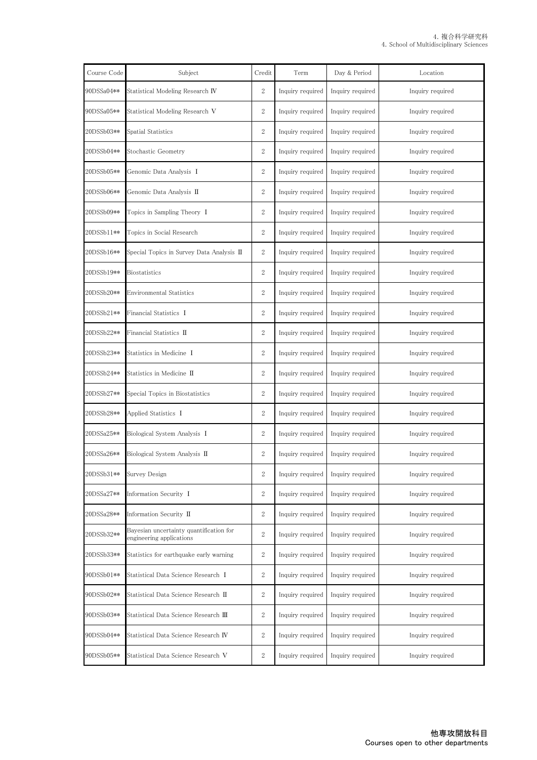| Course Code | Subject                                                             | Credit           | Term             | Day & Period     | Location         |
|-------------|---------------------------------------------------------------------|------------------|------------------|------------------|------------------|
| 00DSSa04**  | Statistical Modeling Research <b>IV</b>                             | $\mathbf{2}$     | Inquiry required | Inquiry required | Inquiry required |
| 90DSSa05**  | Statistical Modeling Research V                                     | $\mathbf{2}$     | Inquiry required | Inquiry required | Inquiry required |
| 20DSSb03**  | Spatial Statistics                                                  | $\boldsymbol{2}$ | Inquiry required | Inquiry required | Inquiry required |
| 20DSSb04**  | Stochastic Geometry                                                 | $\,2$            | Inquiry required | Inquiry required | Inquiry required |
| 20DSSb05**  | Genomic Data Analysis I                                             | $\boldsymbol{2}$ | Inquiry required | Inquiry required | Inquiry required |
| 20DSSb06**  | Genomic Data Analysis <b>II</b>                                     | $\boldsymbol{2}$ | Inquiry required | Inquiry required | Inquiry required |
| 20DSSb09**  | Topics in Sampling Theory I                                         | $\boldsymbol{2}$ | Inquiry required | Inquiry required | Inquiry required |
| 20DSSb11**  | Topics in Social Research                                           | $\mathbf{2}$     | Inquiry required | Inquiry required | Inquiry required |
| 20DSSb16**  | Special Topics in Survey Data Analysis II                           | $\mathbf{2}$     | Inquiry required | Inquiry required | Inquiry required |
| 20DSSb19**  | <b>Biostatistics</b>                                                | $\boldsymbol{2}$ | Inquiry required | Inquiry required | Inquiry required |
| 20DSSb20**  | Environmental Statistics                                            | $\mathbf{2}$     | Inquiry required | Inquiry required | Inquiry required |
| 20DSSb21**  | Financial Statistics I                                              | $\overline{2}$   | Inquiry required | Inquiry required | Inquiry required |
| 20DSSb22**  | Financial Statistics II                                             | $\mathbf{2}$     | Inquiry required | Inquiry required | Inquiry required |
| 20DSSb23**  | Statistics in Medicine I                                            | $\boldsymbol{2}$ | Inquiry required | Inquiry required | Inquiry required |
| 20DSSb24**  | Statistics in Medicine <b>II</b>                                    | $\boldsymbol{2}$ | Inquiry required | Inquiry required | Inquiry required |
| 20DSSb27**  | Special Topics in Biostatistics                                     | $\boldsymbol{2}$ | Inquiry required | Inquiry required | Inquiry required |
| 20DSSb28**  | Applied Statistics I                                                | $\boldsymbol{2}$ | Inquiry required | Inquiry required | Inquiry required |
| 20DSSa25**  | Biological System Analysis I                                        | $\mathbf{2}$     | Inquiry required | Inquiry required | Inquiry required |
| 20DSSa26**  | Biological System Analysis II                                       | $\mathbf{2}$     | Inquiry required | Inquiry required | Inquiry required |
| 20DSSb31**  | Survey Design                                                       | $\boldsymbol{2}$ | Inquiry required | Inquiry required | Inquiry required |
| 20DSSa27**  | Information Security I                                              | $\boldsymbol{2}$ | Inquiry required | Inquiry required | Inquiry required |
| 20DSSa28**  | Information Security II                                             | $\,2$            | Inquiry required | Inquiry required | Inquiry required |
| 20DSSb32**  | Bayesian uncertainty quantification for<br>engineering applications | $\mathbf{2}$     | Inquiry required | Inquiry required | Inquiry required |
| 20DSSb33**  | Statistics for earthquake early warning                             | $\boldsymbol{2}$ | Inquiry required | Inquiry required | Inquiry required |
| 90DSSb01**  | Statistical Data Science Research I                                 | $\mathbf{2}$     | Inquiry required | Inquiry required | Inquiry required |
| 90DSSb02**  | Statistical Data Science Research II                                | $\mathbf{2}$     | Inquiry required | Inquiry required | Inquiry required |
| 90DSSb03**  | Statistical Data Science Research III                               | $\mathbf{2}$     | Inquiry required | Inquiry required | Inquiry required |
| 90DSSb04**  | Statistical Data Science Research IV                                | $\boldsymbol{2}$ | Inquiry required | Inquiry required | Inquiry required |
| 90DSSb05**  | Statistical Data Science Research V                                 | $\,2$            | Inquiry required | Inquiry required | Inquiry required |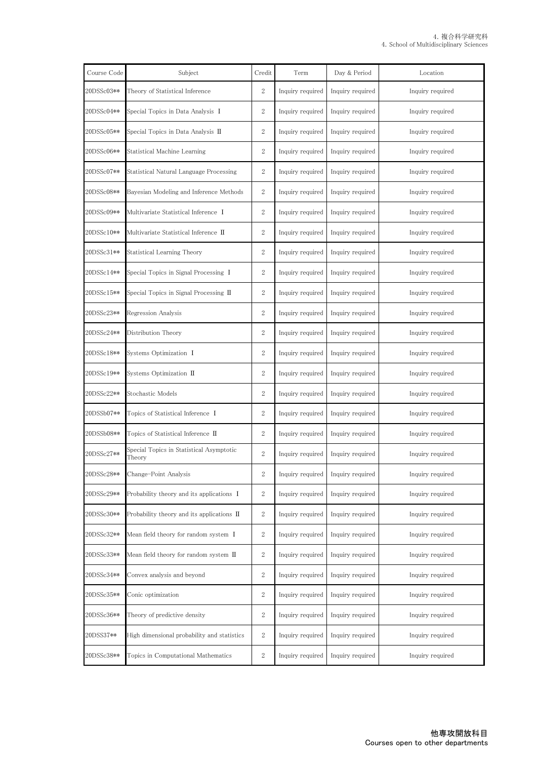| Course Code | Subject                                                               | Credit           | Term             | Day & Period     | Location         |
|-------------|-----------------------------------------------------------------------|------------------|------------------|------------------|------------------|
| 20DSSc03**  | Theory of Statistical Inference                                       | $\mathbf{2}$     | Inquiry required | Inquiry required | Inquiry required |
| 20DSSc04**  | Special Topics in Data Analysis I                                     | $\mathbf{2}$     | Inquiry required | Inquiry required | Inquiry required |
| 20DSSc05**  | Special Topics in Data Analysis II                                    | $\boldsymbol{2}$ | Inquiry required | Inquiry required | Inquiry required |
| 20DSSc06**  | Statistical Machine Learning                                          | $\mathbf{2}$     | Inquiry required | Inquiry required | Inquiry required |
| 20DSSc07**  | Statistical Natural Language Processing                               | $\overline{2}$   | Inquiry required | Inquiry required | Inquiry required |
| 20DSSc08**  | Bayesian Modeling and Inference Methods                               | $\boldsymbol{2}$ | Inquiry required | Inquiry required | Inquiry required |
| 20DSSc09**  | Multivariate Statistical Inference I                                  | $\boldsymbol{2}$ | Inquiry required | Inquiry required | Inquiry required |
| 20DSSc10**  | Multivariate Statistical Inference $\;$ $\rm II$                      | $\mathbf{2}$     | Inquiry required | Inquiry required | Inquiry required |
| 20DSSc31**  | Statistical Learning Theory                                           | $\mathbf{2}$     | Inquiry required | Inquiry required | Inquiry required |
| 20DSSc14**  | Special Topics in Signal Processing I                                 | $\boldsymbol{2}$ | Inquiry required | Inquiry required | Inquiry required |
| 20DSSc15**  | Special Topics in Signal Processing II                                | $\boldsymbol{2}$ | Inquiry required | Inquiry required | Inquiry required |
| 20DSSc23**  | Regression Analysis                                                   | $\overline{2}$   | Inquiry required | Inquiry required | Inquiry required |
| 20DSSc24**  | Distribution Theory                                                   | $\mathbf{2}$     | Inquiry required | Inquiry required | Inquiry required |
| 20DSSc18**  | Systems Optimization I                                                | $\boldsymbol{2}$ | Inquiry required | Inquiry required | Inquiry required |
| 20DSSc19**  | Systems Optimization <b>II</b>                                        | $\boldsymbol{2}$ | Inquiry required | Inquiry required | Inquiry required |
| 20DSSc22**  | Stochastic Models                                                     | $\boldsymbol{2}$ | Inquiry required | Inquiry required | Inquiry required |
| 20DSSb07**  | Topics of Statistical Inference I                                     | $\boldsymbol{2}$ | Inquiry required | Inquiry required | Inquiry required |
| 20DSSb08**  | Topics of Statistical Inference II                                    | $\mathbf{2}$     | Inquiry required | Inquiry required | Inquiry required |
| 20DSSc27**  | Special Topics in Statistical Asymptotic<br>Theory                    | $\mathbf{2}$     | Inquiry required | Inquiry required | Inquiry required |
| 20DSSc28**  | Change-Point Analysis                                                 | $\boldsymbol{2}$ | Inquiry required | Inquiry required | Inquiry required |
| 20DSSc29**  | Probability theory and its applications I                             | $\boldsymbol{2}$ | Inquiry required | Inquiry required | Inquiry required |
| 20DSSc30**  | Probability theory and its applications $\mathbb I$                   | $\,2$            | Inquiry required | Inquiry required | Inquiry required |
| 20DSSc32**  | Mean field theory for random system I                                 | $\boldsymbol{2}$ | Inquiry required | Inquiry required | Inquiry required |
| 20DSSc33**  | Mean field theory for random system $\, \mathrm{I}\hspace{-.1em}I \,$ | $\boldsymbol{2}$ | Inquiry required | Inquiry required | Inquiry required |
| 20DSSc34**  | Convex analysis and beyond                                            | $\mathbf{2}$     | Inquiry required | Inquiry required | Inquiry required |
| 20DSSc35**  | Conic optimization                                                    | $\boldsymbol{2}$ | Inquiry required | Inquiry required | Inquiry required |
| 20DSSc36**  | Theory of predictive density                                          | $\mathbf{2}$     | Inquiry required | Inquiry required | Inquiry required |
| 20DSS37**   | High dimensional probability and statistics                           | $\boldsymbol{2}$ | Inquiry required | Inquiry required | Inquiry required |
| 20DSSc38**  | Topics in Computational Mathematics                                   | $\,2$            | Inquiry required | Inquiry required | Inquiry required |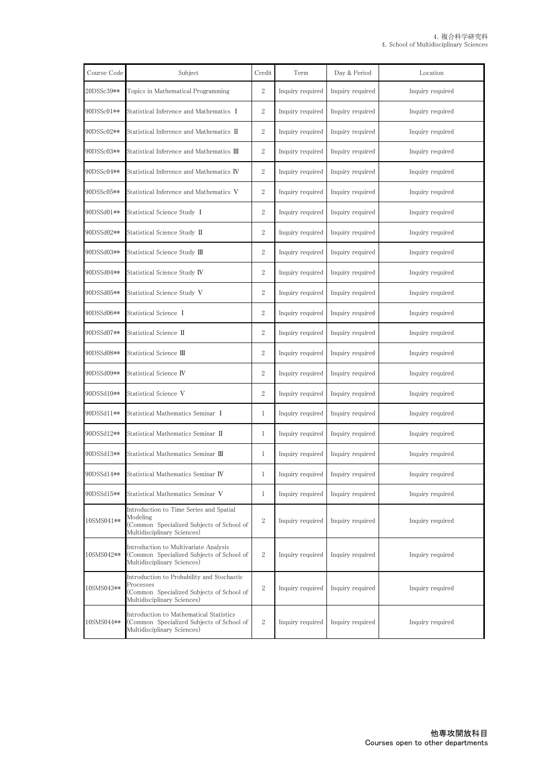| Course Code | Subject                                                                                                                             | Credit           | Term             | Day & Period     | Location         |
|-------------|-------------------------------------------------------------------------------------------------------------------------------------|------------------|------------------|------------------|------------------|
| 20DSSc39**  | Topics in Mathematical Programming                                                                                                  | $\mathbf{2}$     | Inquiry required | Inquiry required | Inquiry required |
| 90DSSc01**  | Statistical Inference and Mathematics I                                                                                             | $\mathbf{2}$     | Inquiry required | Inquiry required | Inquiry required |
| 90DSSc02**  | Statistical Inference and Mathematics $\,$ $\rm II$                                                                                 | $\boldsymbol{2}$ | Inquiry required | Inquiry required | Inquiry required |
| 90DSSc03**  | Statistical Inference and Mathematics $\scriptstyle\rm I\!I\!I$                                                                     | $\mathbf{2}$     | Inquiry required | Inquiry required | Inquiry required |
| 90DSSc04**  | Statistical Inference and Mathematics <b>IV</b>                                                                                     | $\boldsymbol{2}$ | Inquiry required | Inquiry required | Inquiry required |
| 90DSSc05**  | Statistical Inference and Mathematics V                                                                                             | $\boldsymbol{2}$ | Inquiry required | Inquiry required | Inquiry required |
| 90DSSd01**  | Statistical Science Study I                                                                                                         | $\overline{2}$   | Inquiry required | Inquiry required | Inquiry required |
| 90DSSd02**  | Statistical Science Study II                                                                                                        | $\boldsymbol{2}$ | Inquiry required | Inquiry required | Inquiry required |
| 90DSSd03**  | Statistical Science Study Ⅲ                                                                                                         | $\boldsymbol{2}$ | Inquiry required | Inquiry required | Inquiry required |
| 90DSSd04**  | Statistical Science Study IV                                                                                                        | $\boldsymbol{2}$ | Inquiry required | Inquiry required | Inquiry required |
| 90DSSd05**  | Statistical Science Study V                                                                                                         | $\boldsymbol{2}$ | Inquiry required | Inquiry required | Inquiry required |
| 90DSSd06**  | Statistical Science I                                                                                                               | $\mathbf{2}$     | Inquiry required | Inquiry required | Inquiry required |
| 90DSSd07**  | Statistical Science II                                                                                                              | $\mathbf{2}$     | Inquiry required | Inquiry required | Inquiry required |
| 90DSSd08**  | Statistical Science Ⅲ                                                                                                               | $\boldsymbol{2}$ | Inquiry required | Inquiry required | Inquiry required |
| 90DSSd09**  | Statistical Science IV                                                                                                              | $\boldsymbol{2}$ | Inquiry required | Inquiry required | Inquiry required |
| 90DSSd10**  | Statistical Science V                                                                                                               | $\boldsymbol{2}$ | Inquiry required | Inquiry required | Inquiry required |
| 90DSSd11**  | Statistical Mathematics Seminar I                                                                                                   | 1                | Inquiry required | Inquiry required | Inquiry required |
| 90DSSd12**  | Statistical Mathematics Seminar II                                                                                                  | 1                | Inquiry required | Inquiry required | Inquiry required |
| 90DSSd13**  | Statistical Mathematics Seminar <b>III</b>                                                                                          | $\mathbf{1}$     | Inquiry required | Inquiry required | Inquiry required |
| 90DSSd14**  | Statistical Mathematics Seminar <b>IV</b>                                                                                           | $\,1$            | Inquiry required | Inquiry required | Inquiry required |
| 90DSSd15**  | Statistical Mathematics Seminar V                                                                                                   | $\mathbf{1}$     | Inquiry required | Inquiry required | Inquiry required |
| 10SMS041**  | Introduction to Time Series and Spatial<br>Modeling<br>(Common Specialized Subjects of School of<br>Multidisciplinary Sciences)     | $\mathbf{2}$     | Inquiry required | Inquiry required | Inquiry required |
| 10SMS042**  | Introduction to Multivariate Analysis<br>(Common Specialized Subjects of School of<br>Multidisciplinary Sciences)                   | $\boldsymbol{2}$ | Inquiry required | Inquiry required | Inquiry required |
| 10SMS043**  | Introduction to Probability and Stochastic<br>Processes<br>(Common Specialized Subjects of School of<br>Multidisciplinary Sciences) | $\mathbf{2}$     | Inquiry required | Inquiry required | Inquiry required |
| 0SMS044**   | Introduction to Mathematical Statistics<br>(Common Specialized Subjects of School of<br>Multidisciplinary Sciences)                 | $\boldsymbol{2}$ | Inquiry required | Inquiry required | Inquiry required |